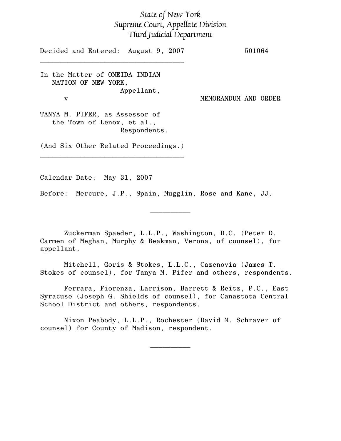## State of New York Supreme Court, Appellate Division Third Judicial Department

Decided and Entered: August 9, 2007 501064  $\mathcal{L}_\text{max}$  , and the set of the set of the set of the set of the set of the set of the set of the set of the set of the set of the set of the set of the set of the set of the set of the set of the set of the set of the In the Matter of ONEIDA INDIAN NATION OF NEW YORK, Appellant, v MEMORANDUM AND ORDER TANYA M. PIFER, as Assessor of the Town of Lenox, et al., Respondents. (And Six Other Related Proceedings.)  $\mathcal{L}_\text{max}$  , and the set of the set of the set of the set of the set of the set of the set of the set of the set of the set of the set of the set of the set of the set of the set of the set of the set of the set of the

Calendar Date: May 31, 2007

Before: Mercure, J.P., Spain, Mugglin, Rose and Kane, JJ.

Zuckerman Spaeder, L.L.P., Washington, D.C. (Peter D. Carmen of Meghan, Murphy & Beakman, Verona, of counsel), for appellant.

 $\frac{1}{2}$ 

Mitchell, Goris & Stokes, L.L.C., Cazenovia (James T. Stokes of counsel), for Tanya M. Pifer and others, respondents.

Ferrara, Fiorenza, Larrison, Barrett & Reitz, P.C., East Syracuse (Joseph G. Shields of counsel), for Canastota Central School District and others, respondents.

Nixon Peabody, L.L.P., Rochester (David M. Schraver of counsel) for County of Madison, respondent.

 $\frac{1}{2}$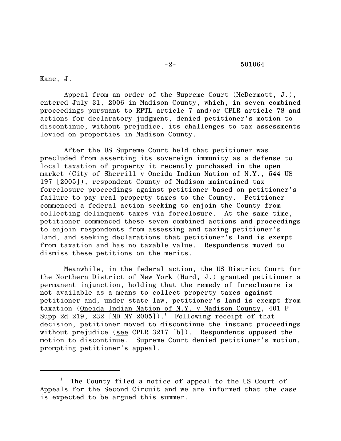## -2- 501064

Kane, J.

Appeal from an order of the Supreme Court (McDermott, J.), entered July 31, 2006 in Madison County, which, in seven combined proceedings pursuant to RPTL article 7 and/or CPLR article 78 and actions for declaratory judgment, denied petitioner's motion to discontinue, without prejudice, its challenges to tax assessments levied on properties in Madison County.

After the US Supreme Court held that petitioner was precluded from asserting its sovereign immunity as a defense to local taxation of property it recently purchased in the open market (City of Sherrill v Oneida Indian Nation of N.Y., 544 US 197 [2005]), respondent County of Madison maintained tax foreclosure proceedings against petitioner based on petitioner's failure to pay real property taxes to the County. Petitioner commenced a federal action seeking to enjoin the County from collecting delinquent taxes via foreclosure. At the same time, petitioner commenced these seven combined actions and proceedings to enjoin respondents from assessing and taxing petitioner's land, and seeking declarations that petitioner's land is exempt from taxation and has no taxable value. Respondents moved to dismiss these petitions on the merits.

Meanwhile, in the federal action, the US District Court for the Northern District of New York (Hurd, J.) granted petitioner a permanent injunction, holding that the remedy of foreclosure is not available as a means to collect property taxes against petitioner and, under state law, petitioner's land is exempt from taxation (Oneida Indian Nation of N.Y. v Madison County, 401 F Supp 2d 219, 232 [ND NY 2005]).<sup>1</sup> Following receipt of that decision, petitioner moved to discontinue the instant proceedings without prejudice (see CPLR 3217 [b]). Respondents opposed the motion to discontinue. Supreme Court denied petitioner's motion, prompting petitioner's appeal.

<sup>1</sup> The County filed a notice of appeal to the US Court of Appeals for the Second Circuit and we are informed that the case is expected to be argued this summer.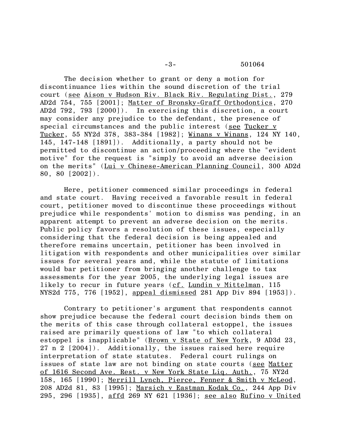## -3- 501064

The decision whether to grant or deny a motion for discontinuance lies within the sound discretion of the trial court (see Aison v Hudson Riv. Black Riv. Regulating Dist., 279 AD2d 754, 755 [2001]; Matter of Bronsky-Graff Orthodontics, 270 AD2d 792, 793 [2000]). In exercising this discretion, a court may consider any prejudice to the defendant, the presence of special circumstances and the public interest (see Tucker v Tucker, 55 NY2d 378, 383-384 [1982]; Winans v Winans, 124 NY 140, 145, 147-148 [1891]). Additionally, a party should not be permitted to discontinue an action/proceeding where the "evident motive" for the request is "simply to avoid an adverse decision on the merits" (Lui v Chinese-American Planning Council, 300 AD2d 80, 80 [2002]).

Here, petitioner commenced similar proceedings in federal and state court. Having received a favorable result in federal court, petitioner moved to discontinue these proceedings without prejudice while respondents' motion to dismiss was pending, in an apparent attempt to prevent an adverse decision on the merits. Public policy favors a resolution of these issues, especially considering that the federal decision is being appealed and therefore remains uncertain, petitioner has been involved in litigation with respondents and other municipalities over similar issues for several years and, while the statute of limitations would bar petitioner from bringing another challenge to tax assessments for the year 2005, the underlying legal issues are likely to recur in future years (cf. Lundin v Mittelman, 115 NYS2d 775, 776 [1952], appeal dismissed 281 App Div 894 [1953]).

Contrary to petitioner's argument that respondents cannot show prejudice because the federal court decision binds them on the merits of this case through collateral estoppel, the issues raised are primarily questions of law "to which collateral estoppel is inapplicable" (Brown v State of New York, 9 AD3d 23, 27 n 2 [2004]). Additionally, the issues raised here require interpretation of state statutes. Federal court rulings on issues of state law are not binding on state courts (see Matter of 1616 Second Ave. Rest. v New York State Liq. Auth., 75 NY2d 158, 165 [1990]; Merrill Lynch, Pierce, Fenner & Smith v McLeod, 208 AD2d 81, 83 [1995]; Marsich v Eastman Kodak Co., 244 App Div 295, 296 [1935], affd 269 NY 621 [1936]; see also Rufino v United